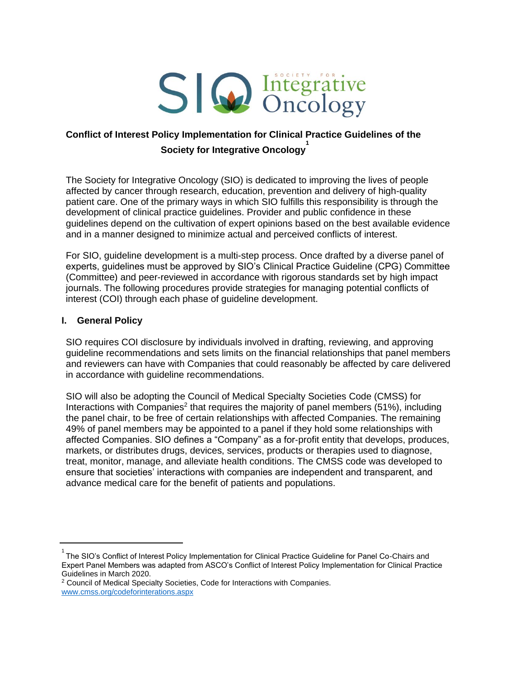# S Q Integrative

# **Conflict of Interest Policy Implementation for Clinical Practice Guidelines of the Society for Integrative Oncology 1**

The Society for Integrative Oncology (SIO) is dedicated to improving the lives of people affected by cancer through research, education, prevention and delivery of high-quality patient care. One of the primary ways in which SIO fulfills this responsibility is through the development of clinical practice guidelines. Provider and public confidence in these guidelines depend on the cultivation of expert opinions based on the best available evidence and in a manner designed to minimize actual and perceived conflicts of interest.

For SIO, guideline development is a multi-step process. Once drafted by a diverse panel of experts, guidelines must be approved by SIO's Clinical Practice Guideline (CPG) Committee (Committee) and peer-reviewed in accordance with rigorous standards set by high impact journals. The following procedures provide strategies for managing potential conflicts of interest (COI) through each phase of guideline development.

### **I. General Policy**

SIO requires COI disclosure by individuals involved in drafting, reviewing, and approving guideline recommendations and sets limits on the financial relationships that panel members and reviewers can have with Companies that could reasonably be affected by care delivered in accordance with guideline recommendations.

SIO will also be adopting the Council of Medical Specialty Societies Code (CMSS) for Interactions with Companies<sup>2</sup> that requires the majority of panel members (51%), including the panel chair, to be free of certain relationships with affected Companies. The remaining 49% of panel members may be appointed to a panel if they hold some relationships with affected Companies. SIO defines a "Company" as a for‐profit entity that develops, produces, markets, or distributes drugs, devices, services, products or therapies used to diagnose, treat, monitor, manage, and alleviate health conditions. The CMSS code was developed to ensure that societies' interactions with companies are independent and transparent, and advance medical care for the benefit of patients and populations.

 $^{\rm 1}$ The SIO's Conflict of Interest Policy Implementation for Clinical Practice Guideline for Panel Co-Chairs and Expert Panel Members was adapted from ASCO's Conflict of Interest Policy Implementation for Clinical Practice Guidelines in March 2020.

<sup>2</sup> Council of Medical Specialty Societies, Code for Interactions with Companies. [www.cmss.org/codeforinterations.aspx](http://www.cmss.org/codeforinterations.aspx)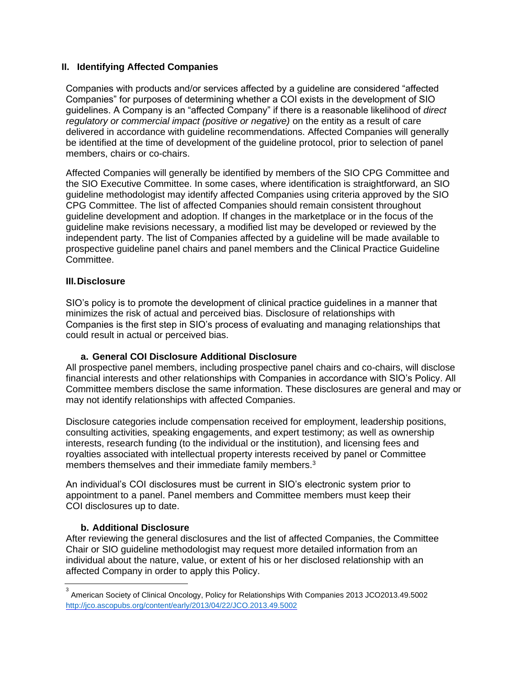### **II. Identifying Affected Companies**

Companies with products and/or services affected by a guideline are considered "affected Companies" for purposes of determining whether a COI exists in the development of SIO guidelines. A Company is an "affected Company" if there is a reasonable likelihood of *direct regulatory or commercial impact (positive or negative)* on the entity as a result of care delivered in accordance with guideline recommendations. Affected Companies will generally be identified at the time of development of the guideline protocol, prior to selection of panel members, chairs or co-chairs.

Affected Companies will generally be identified by members of the SIO CPG Committee and the SIO Executive Committee. In some cases, where identification is straightforward, an SIO guideline methodologist may identify affected Companies using criteria approved by the SIO CPG Committee. The list of affected Companies should remain consistent throughout guideline development and adoption. If changes in the marketplace or in the focus of the guideline make revisions necessary, a modified list may be developed or reviewed by the independent party. The list of Companies affected by a guideline will be made available to prospective guideline panel chairs and panel members and the Clinical Practice Guideline Committee.

### **III.Disclosure**

SIO's policy is to promote the development of clinical practice guidelines in a manner that minimizes the risk of actual and perceived bias. Disclosure of relationships with Companies is the first step in SIO's process of evaluating and managing relationships that could result in actual or perceived bias.

### **a. General COI Disclosure Additional Disclosure**

All prospective panel members, including prospective panel chairs and co-chairs, will disclose financial interests and other relationships with Companies in accordance with SIO's Policy. All Committee members disclose the same information. These disclosures are general and may or may not identify relationships with affected Companies.

Disclosure categories include compensation received for employment, leadership positions, consulting activities, speaking engagements, and expert testimony; as well as ownership interests, research funding (to the individual or the institution), and licensing fees and royalties associated with intellectual property interests received by panel or Committee members themselves and their immediate family members.<sup>3</sup>

An individual's COI disclosures must be current in SIO's electronic system prior to appointment to a panel. Panel members and Committee members must keep their COI disclosures up to date.

### **b. Additional Disclosure**

After reviewing the general disclosures and the list of affected Companies, the Committee Chair or SIO guideline methodologist may request more detailed information from an individual about the nature, value, or extent of his or her disclosed relationship with an affected Company in order to apply this Policy.

<sup>3</sup> American Society of Clinical Oncology, Policy for Relationships With Companies 2013 JCO2013.49.5002 <http://jco.ascopubs.org/content/early/2013/04/22/JCO.2013.49.5002>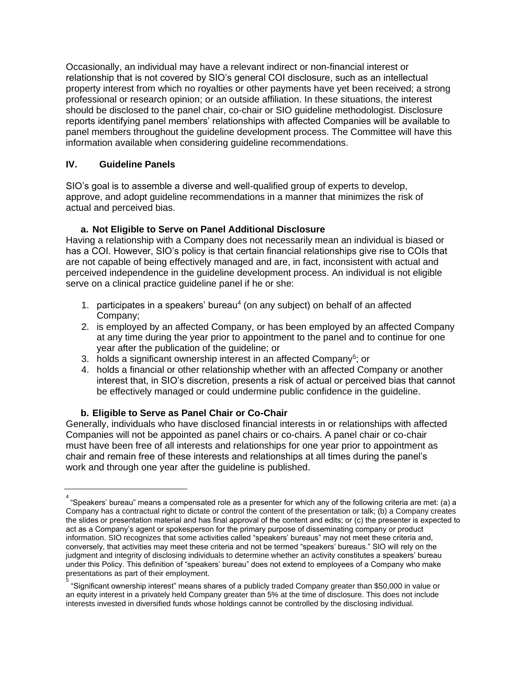Occasionally, an individual may have a relevant indirect or non-financial interest or relationship that is not covered by SIO's general COI disclosure, such as an intellectual property interest from which no royalties or other payments have yet been received; a strong professional or research opinion; or an outside affiliation. In these situations, the interest should be disclosed to the panel chair, co-chair or SIO guideline methodologist. Disclosure reports identifying panel members' relationships with affected Companies will be available to panel members throughout the guideline development process. The Committee will have this information available when considering guideline recommendations.

# **IV. Guideline Panels**

SIO's goal is to assemble a diverse and well-qualified group of experts to develop, approve, and adopt guideline recommendations in a manner that minimizes the risk of actual and perceived bias.

### **a. Not Eligible to Serve on Panel Additional Disclosure**

Having a relationship with a Company does not necessarily mean an individual is biased or has a COI. However, SIO's policy is that certain financial relationships give rise to COIs that are not capable of being effectively managed and are, in fact, inconsistent with actual and perceived independence in the guideline development process. An individual is not eligible serve on a clinical practice guideline panel if he or she:

- 1. participates in a speakers' bureau $4$  (on any subject) on behalf of an affected Company;
- 2. is employed by an affected Company, or has been employed by an affected Company at any time during the year prior to appointment to the panel and to continue for one year after the publication of the guideline; or
- 3. holds a significant ownership interest in an affected Company<sup>5</sup>; or
- 4. holds a financial or other relationship whether with an affected Company or another interest that, in SIO's discretion, presents a risk of actual or perceived bias that cannot be effectively managed or could undermine public confidence in the guideline.

# **b. Eligible to Serve as Panel Chair or Co-Chair**

Generally, individuals who have disclosed financial interests in or relationships with affected Companies will not be appointed as panel chairs or co-chairs. A panel chair or co-chair must have been free of all interests and relationships for one year prior to appointment as chair and remain free of these interests and relationships at all times during the panel's work and through one year after the guideline is published.

 $^4$  "Speakers' bureau" means a compensated role as a presenter for which any of the following criteria are met: (a) a Company has a contractual right to dictate or control the content of the presentation or talk; (b) a Company creates the slides or presentation material and has final approval of the content and edits; or (c) the presenter is expected to act as a Company's agent or spokesperson for the primary purpose of disseminating company or product information. SIO recognizes that some activities called "speakers' bureaus" may not meet these criteria and, conversely, that activities may meet these criteria and not be termed "speakers' bureaus." SIO will rely on the judgment and integrity of disclosing individuals to determine whether an activity constitutes a speakers' bureau under this Policy. This definition of "speakers' bureau" does not extend to employees of a Company who make presentations as part of their employment.

<sup>5</sup> "Significant ownership interest" means shares of a publicly traded Company greater than \$50,000 in value or an equity interest in a privately held Company greater than 5% at the time of disclosure. This does not include interests invested in diversified funds whose holdings cannot be controlled by the disclosing individual.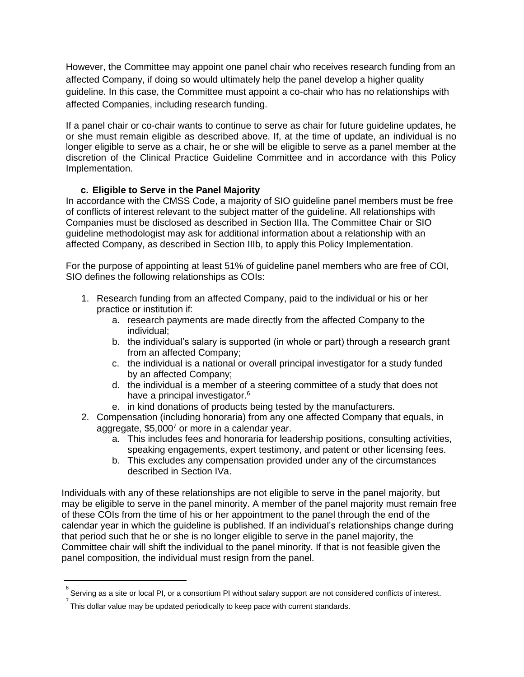However, the Committee may appoint one panel chair who receives research funding from an affected Company, if doing so would ultimately help the panel develop a higher quality guideline. In this case, the Committee must appoint a co-chair who has no relationships with affected Companies, including research funding.

If a panel chair or co-chair wants to continue to serve as chair for future guideline updates, he or she must remain eligible as described above. If, at the time of update, an individual is no longer eligible to serve as a chair, he or she will be eligible to serve as a panel member at the discretion of the Clinical Practice Guideline Committee and in accordance with this Policy Implementation.

### **c. Eligible to Serve in the Panel Majority**

In accordance with the CMSS Code, a majority of SIO guideline panel members must be free of conflicts of interest relevant to the subject matter of the guideline. All relationships with Companies must be disclosed as described in Section IIIa. The Committee Chair or SIO guideline methodologist may ask for additional information about a relationship with an affected Company, as described in Section IIIb, to apply this Policy Implementation.

For the purpose of appointing at least 51% of guideline panel members who are free of COI, SIO defines the following relationships as COIs:

- 1. Research funding from an affected Company, paid to the individual or his or her practice or institution if:
	- a. research payments are made directly from the affected Company to the individual;
	- b. the individual's salary is supported (in whole or part) through a research grant from an affected Company;
	- c. the individual is a national or overall principal investigator for a study funded by an affected Company;
	- d. the individual is a member of a steering committee of a study that does not have a principal investigator.<sup>6</sup>
	- e. in kind donations of products being tested by the manufacturers.
- 2. Compensation (including honoraria) from any one affected Company that equals, in aggregate, \$5,000<sup>7</sup> or more in a calendar year.
	- a. This includes fees and honoraria for leadership positions, consulting activities, speaking engagements, expert testimony, and patent or other licensing fees.
	- b. This excludes any compensation provided under any of the circumstances described in Section IVa.

Individuals with any of these relationships are not eligible to serve in the panel majority, but may be eligible to serve in the panel minority. A member of the panel majority must remain free of these COIs from the time of his or her appointment to the panel through the end of the calendar year in which the guideline is published. If an individual's relationships change during that period such that he or she is no longer eligible to serve in the panel majority, the Committee chair will shift the individual to the panel minority. If that is not feasible given the panel composition, the individual must resign from the panel.

 $\degree$  Serving as a site or local PI, or a consortium PI without salary support are not considered conflicts of interest.

 $^7$  This dollar value may be updated periodically to keep pace with current standards.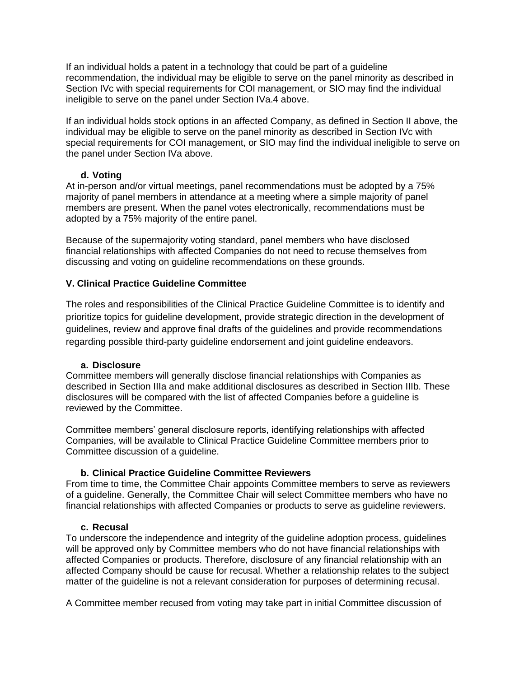If an individual holds a patent in a technology that could be part of a guideline recommendation, the individual may be eligible to serve on the panel minority as described in Section IVc with special requirements for COI management, or SIO may find the individual ineligible to serve on the panel under Section IVa.4 above.

If an individual holds stock options in an affected Company, as defined in Section II above, the individual may be eligible to serve on the panel minority as described in Section IVc with special requirements for COI management, or SIO may find the individual ineligible to serve on the panel under Section IVa above.

### **d. Voting**

At in-person and/or virtual meetings, panel recommendations must be adopted by a 75% majority of panel members in attendance at a meeting where a simple majority of panel members are present. When the panel votes electronically, recommendations must be adopted by a 75% majority of the entire panel.

Because of the supermajority voting standard, panel members who have disclosed financial relationships with affected Companies do not need to recuse themselves from discussing and voting on guideline recommendations on these grounds.

### **V. Clinical Practice Guideline Committee**

The roles and responsibilities of the Clinical Practice Guideline Committee is to identify and prioritize topics for guideline development, provide strategic direction in the development of guidelines, review and approve final drafts of the guidelines and provide recommendations regarding possible third-party guideline endorsement and joint guideline endeavors.

### **a. Disclosure**

Committee members will generally disclose financial relationships with Companies as described in Section IIIa and make additional disclosures as described in Section IIIb. These disclosures will be compared with the list of affected Companies before a guideline is reviewed by the Committee.

Committee members' general disclosure reports, identifying relationships with affected Companies, will be available to Clinical Practice Guideline Committee members prior to Committee discussion of a guideline.

# **b. Clinical Practice Guideline Committee Reviewers**

From time to time, the Committee Chair appoints Committee members to serve as reviewers of a guideline. Generally, the Committee Chair will select Committee members who have no financial relationships with affected Companies or products to serve as guideline reviewers.

### **c. Recusal**

To underscore the independence and integrity of the guideline adoption process, guidelines will be approved only by Committee members who do not have financial relationships with affected Companies or products. Therefore, disclosure of any financial relationship with an affected Company should be cause for recusal. Whether a relationship relates to the subject matter of the guideline is not a relevant consideration for purposes of determining recusal.

A Committee member recused from voting may take part in initial Committee discussion of